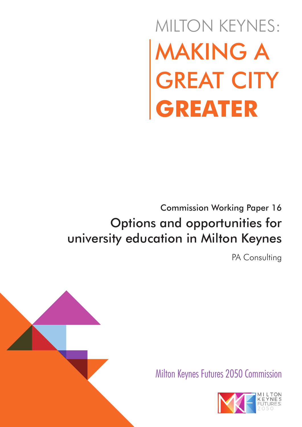# MAKING A GREAT CITY **GREATER** MILTON KEYNES:

# Commission Working Paper 16 Options and opportunities for university education in Milton Keynes

PA Consulting





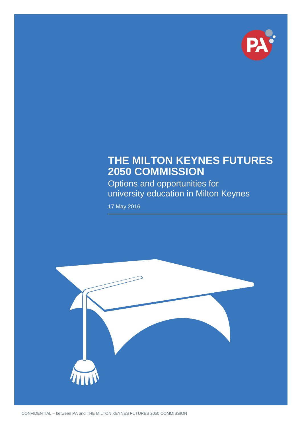

## **THE MILTON KEYNES FUTURES 2050 COMMISSION**

Options and opportunities for university education in Milton Keynes

17 May 2016

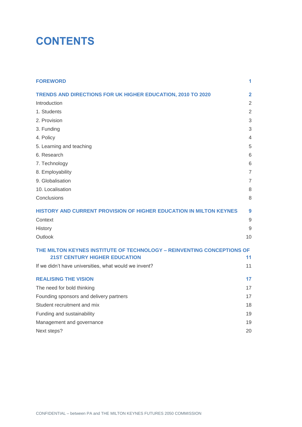# **CONTENTS**

| <b>FOREWORD</b>                                                        | 1                       |
|------------------------------------------------------------------------|-------------------------|
| TRENDS AND DIRECTIONS FOR UK HIGHER EDUCATION, 2010 TO 2020            | $\overline{\mathbf{2}}$ |
| Introduction                                                           | 2                       |
| 1. Students                                                            | $\overline{2}$          |
| 2. Provision                                                           | 3                       |
| 3. Funding                                                             | 3                       |
| 4. Policy                                                              | 4                       |
| 5. Learning and teaching                                               | 5                       |
| 6. Research                                                            | 6                       |
| 7. Technology                                                          | 6                       |
| 8. Employability                                                       | 7                       |
| 9. Globalisation                                                       | $\overline{7}$          |
| 10. Localisation                                                       | 8                       |
| Conclusions                                                            | 8                       |
| HISTORY AND CURRENT PROVISION OF HIGHER EDUCATION IN MILTON KEYNES     | 9                       |
| Context                                                                | 9                       |
| History                                                                | 9                       |
| Outlook                                                                | 10                      |
| THE MILTON KEYNES INSTITUTE OF TECHNOLOGY - REINVENTING CONCEPTIONS OF |                         |
| <b>21ST CENTURY HIGHER EDUCATION</b>                                   | 11                      |
| If we didn't have universities, what would we invent?                  | 11                      |
| <b>REALISING THE VISION</b>                                            | 17                      |
| The need for bold thinking                                             | 17                      |
| Founding sponsors and delivery partners                                | 17                      |
| Student recruitment and mix                                            | 18                      |
| Funding and sustainability                                             | 19                      |
| Management and governance                                              | 19                      |
| Next steps?                                                            | 20                      |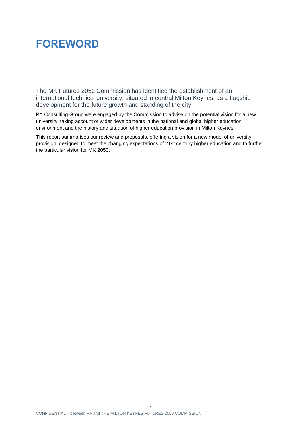# <span id="page-3-0"></span>**FOREWORD**

The MK Futures 2050 Commission has identified the establishment of an international technical university, situated in central Milton Keynes, as a flagship development for the future growth and standing of the city.

PA Consulting Group were engaged by the Commission to advise on the potential vision for a new university, taking account of wider developments in the national and global higher education environment and the history and situation of higher education provision in Milton Keynes.

This report summarises our review and proposals, offering a vision for a new model of university provision, designed to meet the changing expectations of 21st century higher education and to further the particular vision for MK 2050.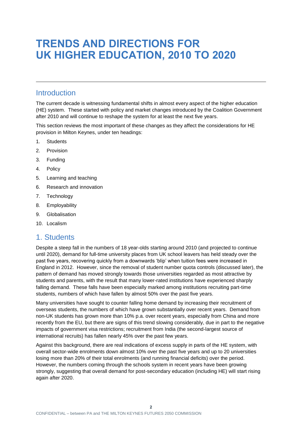# <span id="page-4-0"></span>**TRENDS AND DIRECTIONS FOR UK HIGHER EDUCATION, 2010 TO 2020**

#### <span id="page-4-1"></span>Introduction

The current decade is witnessing fundamental shifts in almost every aspect of the higher education (HE) system. These started with policy and market changes introduced by the Coalition Government after 2010 and will continue to reshape the system for at least the next five years.

This section reviews the most important of these changes as they affect the considerations for HE provision in Milton Keynes, under ten headings:

- 1. Students
- 2. Provision
- 3. Funding
- 4. Policy
- 5. Learning and teaching
- 6. Research and innovation
- 7. Technology
- 8. Employability
- 9. Globalisation
- 10. Localism

#### <span id="page-4-2"></span>1. Students

Despite a steep fall in the numbers of 18 year-olds starting around 2010 (and projected to continue until 2020), demand for full-time university places from UK school leavers has held steady over the past five years, recovering quickly from a downwards 'blip' when tuition fees were increased in England in 2012. However, since the removal of student number quota controls (discussed later), the pattern of demand has moved strongly towards those universities regarded as most attractive by students and parents, with the result that many lower-rated institutions have experienced sharply falling demand. These falls have been especially marked among institutions recruiting part-time students, numbers of which have fallen by almost 50% over the past five years.

Many universities have sought to counter falling home demand by increasing their recruitment of overseas students, the numbers of which have grown substantially over recent years. Demand from non-UK students has grown more than 10% p.a. over recent years, especially from China and more recently from the EU, but there are signs of this trend slowing considerably, due in part to the negative impacts of government visa restrictions; recruitment from India (the second-largest source of international recruits) has fallen nearly 45% over the past few years.

Against this background, there are real indications of excess supply in parts of the HE system, with overall sector-wide enrolments down almost 10% over the past five years and up to 20 universities losing more than 20% of their total enrolments (and running financial deficits) over the period. However, the numbers coming through the schools system in recent years have been growing strongly, suggesting that overall demand for post-secondary education (including HE) will start rising again after 2020.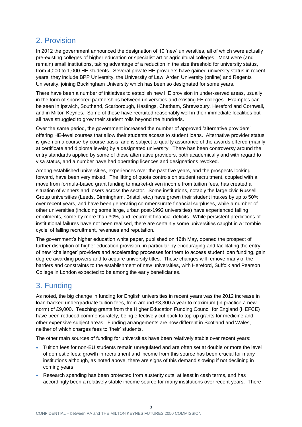## <span id="page-5-0"></span>2. Provision

In 2012 the government announced the designation of 10 'new' universities, all of which were actually pre-existing colleges of higher education or specialist art or agricultural colleges. Most were (and remain) small institutions, taking advantage of a reduction in the size threshold for university status, from 4,000 to 1,000 HE students. Several private HE providers have gained university status in recent years; they include BPP University, the University of Law, Arden University (online) and Regents University, joining Buckingham University which has been so designated for some years.

There have been a number of initiatives to establish new HE provision in under-served areas, usually in the form of sponsored partnerships between universities and existing FE colleges. Examples can be seen in Ipswich, Southend, Scarborough, Hastings, Chatham, Shrewsbury, Hereford and Cornwall, and in Milton Keynes. Some of these have recruited reasonably well in their immediate localities but all have struggled to grow their student rolls beyond the hundreds.

Over the same period, the government increased the number of approved 'alternative providers' offering HE-level courses that allow their students access to student loans. Alternative provider status is given on a course-by-course basis, and is subject to quality assurance of the awards offered (mainly at certificate and diploma levels) by a designated university. There has been controversy around the entry standards applied by some of these alternative providers, both academically and with regard to visa status, and a number have had operating licences and designations revoked.

Among established universities, experiences over the past five years, and the prospects looking forward, have been very mixed. The lifting of quota controls on student recruitment, coupled with a move from formula-based grant funding to market-driven income from tuition fees, has created a situation of winners and losers across the sector. Some institutions, notably the large civic Russell Group universities (Leeds, Birmingham, Bristol, etc.) have grown their student intakes by up to 50% over recent years, and have been generating commensurate financial surpluses, while a number of other universities (including some large, urban post-1992 universities) have experienced falling enrolments, some by more than 30%, and recurrent financial deficits. While persistent predictions of institutional failures have not been realised, there are certainly some universities caught in a 'zombie cycle' of falling recruitment, revenues and reputation.

The government's higher education white paper, published on 16th May, opened the prospect of further disruption of higher education provision, in particular by encouraging and facilitating the entry of new 'challenger' providers and accelerating processes for them to access student loan funding, gain degree awarding powers and to acquire university titles. These changes will remove many of the barriers and constraints to the establishment of new universities, with Hereford, Suffolk and Pearson College in London expected to be among the early beneficiaries.

## <span id="page-5-1"></span>3. Funding

As noted, the big change in funding for English universities in recent years was the 2012 increase in loan-backed undergraduate tuition fees, from around £3,300 a year to maximum (in practice a new norm) of £9,000. Teaching grants from the Higher Education Funding Council for England (HEFCE) have been reduced commensurately, being effectively cut back to top-up grants for medicine and other expensive subject areas. Funding arrangements are now different in Scotland and Wales, neither of which charges fees to 'their' students.

The other main sources of funding for universities have been relatively stable over recent years:

- Tuition fees for non-EU students remain unregulated and are often set at double or more the level of domestic fees; growth in recruitment and income from this source has been crucial for many institutions although, as noted above, there are signs of this demand slowing if not declining in coming years
- Research spending has been protected from austerity cuts, at least in cash terms, and has accordingly been a relatively stable income source for many institutions over recent years. There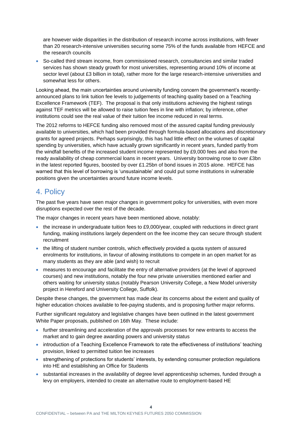are however wide disparities in the distribution of research income across institutions, with fewer than 20 research-intensive universities securing some 75% of the funds available from HEFCE and the research councils

 So-called third stream income, from commissioned research, consultancies and similar traded services has shown steady growth for most universities, representing around 10% of income at sector level (about £3 billion in total), rather more for the large research-intensive universities and somewhat less for others.

Looking ahead, the main uncertainties around university funding concern the government's recentlyannounced plans to link tuition fee levels to judgements of teaching quality based on a Teaching Excellence Framework (TEF). The proposal is that only institutions achieving the highest ratings against TEF metrics will be allowed to raise tuition fees in line with inflation; by inference, other institutions could see the real value of their tuition fee income reduced in real terms.

The 2012 reforms to HEFCE funding also removed most of the assured capital funding previously available to universities, which had been provided through formula-based allocations and discretionary grants for agreed projects. Perhaps surprisingly, this has had little effect on the volumes of capital spending by universities, which have actually grown significantly in recent years, funded partly from the windfall benefits of the increased student income represented by £9,000 fees and also from the ready availability of cheap commercial loans in recent years. University borrowing rose to over £3bn in the latest reported figures, boosted by over £1.25bn of bond issues in 2015 alone. HEFCE has warned that this level of borrowing is 'unsustainable' and could put some institutions in vulnerable positions given the uncertainties around future income levels.

#### <span id="page-6-0"></span>4. Policy

The past five years have seen major changes in government policy for universities, with even more disruptions expected over the rest of the decade.

The major changes in recent years have been mentioned above, notably:

- the increase in undergraduate tuition fees to £9,000/year, coupled with reductions in direct grant funding, making institutions largely dependent on the fee income they can secure through student recruitment
- the lifting of student number controls, which effectively provided a quota system of assured enrolments for institutions, in favour of allowing institutions to compete in an open market for as many students as they are able (and wish) to recruit
- measures to encourage and facilitate the entry of alternative providers (at the level of approved courses) and new institutions, notably the four new private universities mentioned earlier and others waiting for university status (notably Pearson University College, a New Model university project in Hereford and University College, Suffolk).

Despite these changes, the government has made clear its concerns about the extent and quality of higher education choices available to fee-paying students, and is proposing further major reforms.

Further significant regulatory and legislative changes have been outlined in the latest government White Paper proposals, published on 16th May. These include:

- further streamlining and acceleration of the approvals processes for new entrants to access the market and to gain degree awarding powers and university status
- introduction of a Teaching Excellence Framework to rate the effectiveness of institutions' teaching provision, linked to permitted tuition fee increases
- strengthening of protections for students' interests, by extending consumer protection regulations into HE and establishing an Office for Students
- substantial increases in the availability of degree level apprenticeship schemes, funded through a levy on employers, intended to create an alternative route to employment-based HE

**4**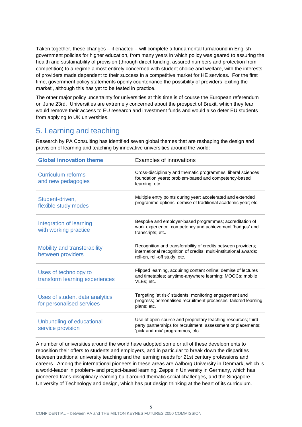Taken together, these changes – if enacted – will complete a fundamental turnaround in English government policies for higher education, from many years in which policy was geared to assuring the health and sustainability of provision (through direct funding, assured numbers and protection from competition) to a regime almost entirely concerned with student choice and welfare, with the interests of providers made dependent to their success in a competitive market for HE services. For the first time, government policy statements openly countenance the possibility of providers 'exiting the market', although this has yet to be tested in practice.

The other major policy uncertainty for universities at this time is of course the European referendum on June 23rd. Universities are extremely concerned about the prospect of Brexit, which they fear would remove their access to EU research and investment funds and would also deter EU students from applying to UK universities.

## <span id="page-7-0"></span>5. Learning and teaching

Research by PA Consulting has identified seven global themes that are reshaping the design and provision of learning and teaching by innovative universities around the world:

| <b>Global innovation theme</b>                              | Examples of innovations                                                                                                                                             |
|-------------------------------------------------------------|---------------------------------------------------------------------------------------------------------------------------------------------------------------------|
| <b>Curriculum reforms</b><br>and new pedagogies             | Cross-disciplinary and thematic programmes; liberal sciences<br>foundation years; problem-based and competency-based<br>learning; etc.                              |
| Student-driven,<br>flexible study modes                     | Multiple entry points during year; accelerated and extended<br>programme options; demise of traditional academic year; etc.                                         |
| Integration of learning<br>with working practice            | Bespoke and employer-based programmes; accreditation of<br>work experience; competency and achievement 'badges' and<br>transcripts; etc.                            |
| Mobility and transferability<br>between providers           | Recognition and transferability of credits between providers;<br>international recognition of credits; multi-institutional awards;<br>roll-on, roll-off study; etc. |
| Uses of technology to<br>transform learning experiences     | Flipped learning, acquiring content online; demise of lectures<br>and timetables; anytime-anywhere learning; MOOCs; mobile<br>VLEs; etc.                            |
| Uses of student data analytics<br>for personalised services | Targeting 'at risk' students; monitoring engagement and<br>progress; personalised recruitment processes; tailored learning<br>plans; etc.                           |
| Unbundling of educational<br>service provision              | Use of open-source and proprietary teaching resources; third-<br>party partnerships for recruitment, assessment or placements;<br>'pick-and-mix' programmes, etc    |

A number of universities around the world have adopted some or all of these developments to reposition their offers to students and employers, and in particular to break down the disparities between traditional university teaching and the learning needs for 21st century professions and careers. Among the international pioneers in these areas are Aalborg University in Denmark, which is a world-leader in problem- and project-based learning, Zeppelin University in Germany, which has pioneered trans-disciplinary learning built around thematic social challenges, and the Singapore University of Technology and design, which has put design thinking at the heart of its curriculum.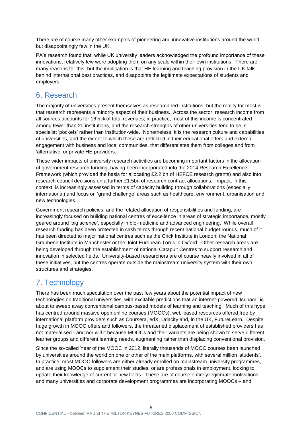There are of course many other examples of pioneering and innovative institutions around the world, but disappointingly few in the UK.

PA's research found that, while UK university leaders acknowledged the profound importance of these innovations, relatively few were adopting them on any scale within their own institutions. There are many reasons for this, but the implication is that HE learning and teaching provision in the UK falls behind international best practices, and disappoints the legitimate expectations of students and employers.

## <span id="page-8-0"></span>6. Research

The majority of universities present themselves as research-led institutions, but the reality for most is that research represents a minority aspect of their business. Across the sector, research income from all sources accounts for 16½% of total revenues; in practice, most of this income is concentrated among fewer than 20 institutions, and the research strengths of other universities tend to be in specialist 'pockets' rather than institution-wide. Nonetheless, it is the research culture and capabilities of universities, and the extent to which these are reflected in their educational offers and external engagement with business and local communities, that differentiates them from colleges and from 'alternative' or private HE providers.

These wider impacts of university research activities are becoming important factors in the allocation of government research funding, having been incorporated into the 2014 Research Excellence Framework (which provided the basis for allocating £2.2 bn of HEFCE research grants) and also into research council decisions on a further £1.5bn of research contract allocations. Impact, in this context, is increasingly assessed in terms of capacity building through collaborations (especially international) and focus on 'grand challenge' areas such as healthcare, environment, urbanisation and new technologies.

Government research policies, and the related allocation of responsibilities and funding, are increasingly focused on building national centres of excellence in areas of strategic importance, mostly geared around 'big science', especially in bio-medicine and advanced engineering. While overall research funding has been protected in cash terms through recent national budget rounds, much of it has been directed to major national centres such as the Crick Institute in London, the National Graphene Institute in Manchester or the Joint European Torus in Oxford. Other research areas are being developed through the establishment of national Catapult Centres to support research and innovation in selected fields. University-based researchers are of course heavily involved in all of these initiatives, but the centres operate outside the mainstream university system with their own structures and strategies.

## <span id="page-8-1"></span>7. Technology

There has been much speculation over the past few years about the potential impact of new technologies on traditional universities, with excitable predictions that an internet-powered 'tsunami' is about to sweep away conventional campus-based models of learning and teaching. Much of this hype has centred around massive open online courses (MOOCs), web-based resources offered free by international platform providers such as Coursera, edX, Udacity and, in the UK, FutureLearn. Despite huge growth in MOOC offers and followers, the threatened displacement of established providers has not materialised - and nor will it because MOOCs and their variants are being shown to serve different learner groups and different learning needs, augmenting rather than displacing conventional provision.

Since the so-called Year of the MOOC in 2012, literally thousands of MOOC courses been launched by universities around the world on one or other of the main platforms, with several million 'students'. In practice, most MOOC followers are either already enrolled on mainstream university programmes, and are using MOOCs to supplement their studies, or are professionals in employment, looking to update their knowledge of current or new fields. These are of course entirely legitimate motivations, and many universities and corporate development programmes are incorporating MOOCs – and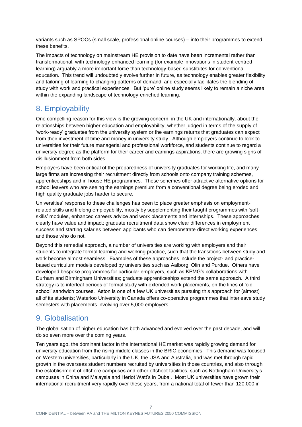variants such as SPOCs (small scale, professional online courses) – into their programmes to extend these benefits.

The impacts of technology on mainstream HE provision to date have been incremental rather than transformational, with technology-enhanced learning (for example innovations in student-centred learning) arguably a more important force than technology-based substitutes for conventional education. This trend will undoubtedly evolve further in future, as technology enables greater flexibility and tailoring of learning to changing patterns of demand, and especially facilitates the blending of study with work and practical experiences. But 'pure' online study seems likely to remain a niche area within the expanding landscape of technology-enriched learning.

## <span id="page-9-0"></span>8. Employability

One compelling reason for this view is the growing concern, in the UK and internationally, about the relationships between higher education and employability, whether judged in terms of the supply of 'work-ready' graduates from the university system or the earnings returns that graduates can expect from their investment of time and money in university study. Although employers continue to look to universities for their future managerial and professional workforce, and students continue to regard a university degree as the platform for their career and earnings aspirations, there are growing signs of disillusionment from both sides.

Employers have been critical of the preparedness of university graduates for working life, and many large firms are increasing their recruitment directly from schools onto company training schemes, apprenticeships and in-house HE programmes. These schemes offer attractive alternative options for school leavers who are seeing the earnings premium from a conventional degree being eroded and high quality graduate jobs harder to secure.

Universities' response to these challenges has been to place greater emphasis on employmentrelated skills and lifelong employability, mostly by supplementing their taught programmes with 'softskills' modules, enhanced careers advice and work placements and internships. These approaches clearly have value and impact; graduate recruitment data show clear differences in employment success and starting salaries between applicants who can demonstrate direct working experiences and those who do not.

Beyond this remedial approach, a number of universities are working with employers and their students to integrate formal learning and working practice, such that the transitions between study and work become almost seamless. Examples of these approaches include the project- and practicebased curriculum models developed by universities such as Aalborg, Olin and Purdue. Others have developed bespoke programmes for particular employers, such as KPMG's collaborations with Durham and Birmingham Universities; graduate apprenticeships extend the same approach. A third strategy is to interleaf periods of formal study with extended work placements, on the lines of 'oldschool' sandwich courses. Aston is one of a few UK universities pursuing this approach for (almost) all of its students; Waterloo University in Canada offers co-operative programmes that interleave study semesters with placements involving over 5,000 employers.

## <span id="page-9-1"></span>9. Globalisation

The globalisation of higher education has both advanced and evolved over the past decade, and will do so even more over the coming years.

Ten years ago, the dominant factor in the international HE market was rapidly growing demand for university education from the rising middle classes in the BRIC economies. This demand was focused on Western universities, particularly in the UK, the USA and Australia, and was met through rapid growth in the overseas student numbers recruited by universities in those countries, and also through the establishment of offshore campuses and other offshoot facilities, such as Nottingham University's campuses in China and Malaysia and Heriot Watt's in Dubai. Most UK universities have grown their international recruitment very rapidly over these years, from a national total of fewer than 120,000 in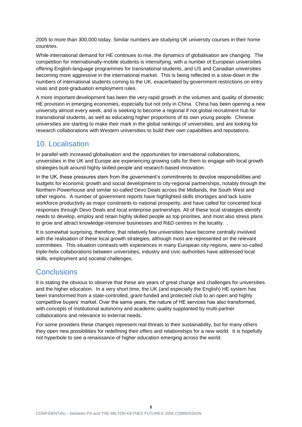2005 to more than 300,000 today. Similar numbers are studying UK university courses in their home countries.

While international demand for HE continues to rise, the dynamics of globalisation are changing. The competition for internationally-mobile students is intensifying, with a number of European universities offering English-language programmes for transnational students, and US and Canadian universities becoming more aggressive in the international market. This is being reflected in a slow-down in the numbers of international students coming to the UK, exacerbated by government restrictions on entry visas and post-graduation employment rules.

A more important development has been the very rapid growth in the volumes and quality of domestic HE provision in emerging economies, especially but not only in China. China has been opening a new university almost every week, and is seeking to become a regional if not global recruitment hub for transnational students, as well as educating higher proportions of its own young people. Chinese universities are starting to make their mark in the global rankings of universities, and are looking for research collaborations with Western universities to build their own capabilities and reputations.

#### <span id="page-10-0"></span>10. Localisation

In parallel with increased globalisation and the opportunities for international collaborations, universities in the UK and Europe are experiencing growing calls for them to engage with local growth strategies built around highly skilled people and research-based innovation.

In the UK, these pressures stem from the government's commitments to devolve responsibilities and budgets for economic growth and social development to city-regional partnerships, notably through the Northern Powerhouse and similar so-called Devo Deals across the Midlands, the South West and other regions. A number of government reports have highlighted skills shortages and lack lustre workforce productivity as major constraints to national prosperity, and have called for concerted local responses through Devo Deals and local enterprise partnerships. All of these local strategies identify needs to develop, employ and retain highly skilled people as top priorities, and most also stress plans to grow and attract knowledge-intensive businesses and R&D centres in the locality. .

It is somewhat surprising, therefore, that relatively few universities have become centrally involved with the realisation of these local growth strategies, although most are represented on the relevant committees. This situation contrasts with experiences in many European city-regions, were so-called triple-helix collaborations between universities, industry and civic authorities have addressed local skills, employment and societal challenges.

## <span id="page-10-1"></span>**Conclusions**

It is stating the obvious to observe that these are years of great change and challenges for universities and the higher education. In a very short time, the UK (and especially the English) HE system has been transformed from a state-controlled, grant-funded and protected club to an open and highly competitive buyers' market. Over the same years, the nature of HE services has also transformed, with concepts of institutional autonomy and academic quality supplanted by multi-partner collaborations and relevance to external needs.

For some providers these changes represent real threats to their sustainability, but for many others they open new possibilities for redefining their offers and relationships for a new world. It is hopefully not hyperbole to see a renaissance of higher education emerging across the world.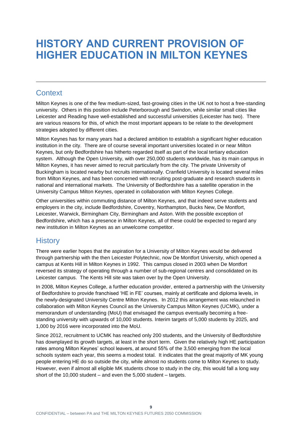# <span id="page-11-0"></span>**HISTORY AND CURRENT PROVISION OF HIGHER EDUCATION IN MILTON KEYNES**

## <span id="page-11-1"></span>**Context**

Milton Keynes is one of the few medium-sized, fast-growing cities in the UK not to host a free-standing university. Others in this position include Peterborough and Swindon, while similar small cities like Leicester and Reading have well-established and successful universities (Leicester has two). There are various reasons for this, of which the most important appears to be relate to the development strategies adopted by different cities.

Milton Keynes has for many years had a declared ambition to establish a significant higher education institution in the city. There are of course several important universities located in or near Milton Keynes, but only Bedfordshire has hitherto regarded itself as part of the local tertiary education system. Although the Open University, with over 250,000 students worldwide, has its main campus in Milton Keynes, it has never aimed to recruit particularly from the city. The private University of Buckingham is located nearby but recruits internationally. Cranfield University is located several miles from Milton Keynes, and has been concerned with recruiting post-graduate and research students in national and international markets. The University of Bedfordshire has a satellite operation in the University Campus Milton Keynes, operated in collaboration with Milton Keynes College.

Other universities within commuting distance of Milton Keynes, and that indeed serve students and employers in the city, include Bedfordshire, Coventry, Northampton, Bucks New, De Montfort, Leicester, Warwick, Birmingham City, Birmingham and Aston. With the possible exception of Bedfordshire, which has a presence in Milton Keynes, all of these could be expected to regard any new institution in Milton Keynes as an unwelcome competitor.

## <span id="page-11-2"></span>**History**

There were earlier hopes that the aspiration for a University of Milton Keynes would be delivered through partnership with the then Leicester Polytechnic, now De Montfort University, which opened a campus at Kents Hill in Milton Keynes in 1992. This campus closed in 2003 when De Montfort reversed its strategy of operating through a number of sub-regional centres and consolidated on its Leicester campus. The Kents Hill site was taken over by the Open University.

In 2008, Milton Keynes College, a further education provider, entered a partnership with the University of Bedfordshire to provide franchised 'HE in FE' courses, mainly at certificate and diploma levels, in the newly-designated University Centre Milton Keynes. In 2012 this arrangement was relaunched in collaboration with Milton Keynes Council as the University Campus Milton Keynes (UCMK), under a memorandum of understanding (MoU) that envisaged the campus eventually becoming a freestanding university with upwards of 10,000 students. Interim targets of 5,000 students by 2025, and 1,000 by 2016 were incorporated into the MoU.

Since 2012, recruitment to UCMK has reached only 200 students, and the University of Bedfordshire has downplayed its growth targets, at least in the short term. Given the relatively high HE participation rates among Milton Keynes' school leavers, at around 55% of the 3,500 emerging from the local schools system each year, this seems a modest total. It indicates that the great majority of MK young people entering HE do so outside the city, while almost no students come to Milton Keynes to study. However, even if almost all eligible MK students chose to study in the city, this would fall a long way short of the 10,000 student – and even the 5,000 student – targets.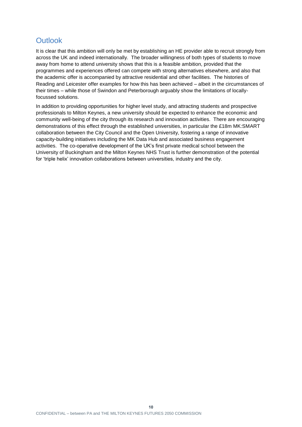## <span id="page-12-0"></span>**Outlook**

It is clear that this ambition will only be met by establishing an HE provider able to recruit strongly from across the UK and indeed internationally. The broader willingness of both types of students to move away from home to attend university shows that this is a feasible ambition, provided that the programmes and experiences offered can compete with strong alternatives elsewhere, and also that the academic offer is accompanied by attractive residential and other facilities. The histories of Reading and Leicester offer examples for how this has been achieved – albeit in the circumstances of their times – while those of Swindon and Peterborough arguably show the limitations of locallyfocussed solutions.

In addition to providing opportunities for higher level study, and attracting students and prospective professionals to Milton Keynes, a new university should be expected to enhance the economic and community well-being of the city through its research and innovation activities. There are encouraging demonstrations of this effect through the established universities, in particular the £18m MK:SMART collaboration between the City Council and the Open University, fostering a range of innovative capacity-building initiatives including the MK Data Hub and associated business engagement activities. The co-operative development of the UK's first private medical school between the University of Buckingham and the Milton Keynes NHS Trust is further demonstration of the potential for 'triple helix' innovation collaborations between universities, industry and the city.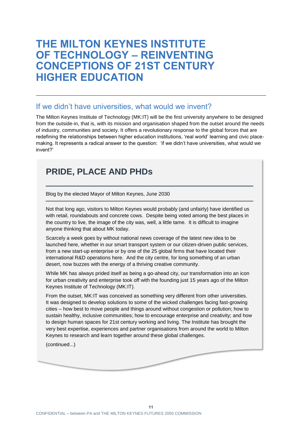## <span id="page-13-0"></span>**THE MILTON KEYNES INSTITUTE OF TECHNOLOGY – REINVENTING CONCEPTIONS OF 21ST CENTURY HIGHER EDUCATION**

#### <span id="page-13-1"></span>If we didn't have universities, what would we invent?

The Milton Keynes Institute of Technology (MK:IT) will be the first university anywhere to be designed from the outside-in, that is, with its mission and organisation shaped from the outset around the needs of industry, communities and society. It offers a revolutionary response to the global forces that are redefining the relationships between higher education institutions, 'real world' learning and civic placemaking. It represents a radical answer to the question: 'if we didn't have universities, what would we invent?'

## **PRIDE, PLACE AND PHDs**

Blog by the elected Mayor of Milton Keynes, June 2030

Not that long ago, visitors to Milton Keynes would probably (and unfairly) have identified us with retail, roundabouts and concrete cows. Despite being voted among the best places in the country to live, the image of the city was, well, a little tame. It is difficult to imagine anyone thinking that about MK today.

Scarcely a week goes by without national news coverage of the latest new idea to be launched here, whether in our smart transport system or our citizen-driven public services, from a new start-up enterprise or by one of the 25 global firms that have located their international R&D operations here. And the city centre, for long something of an urban desert, now buzzes with the energy of a thriving creative community.

While MK has always prided itself as being a go-ahead city, our transformation into an icon for urban creativity and enterprise took off with the founding just 15 years ago of the Milton Keynes Institute of Technology (MK:IT).

From the outset, MK:IT was conceived as something very different from other universities. It was designed to develop solutions to some of the wicked challenges facing fast-growing cities – how best to move people and things around without congestion or pollution; how to sustain healthy, inclusive communities; how to encourage enterprise and creativity; and how to design human spaces for 21st century working and living. The Institute has brought the very best expertise, experiences and partner organisations from around the world to Milton Keynes to research and learn together around these global challenges.

(continued...)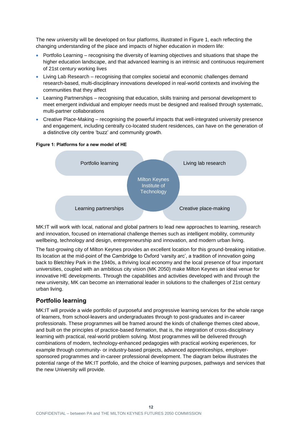The new university will be developed on four platforms, illustrated in Figure 1, each reflecting the changing understanding of the place and impacts of higher education in modern life:

- Portfolio Learning recognising the diversity of learning objectives and situations that shape the higher education landscape, and that advanced learning is an intrinsic and continuous requirement of 21st century working lives
- Living Lab Research recognising that complex societal and economic challenges demand research-based, multi-disciplinary innovations developed in real-world contexts and involving the communities that they affect
- Learning Partnerships recognising that education, skills training and personal development to meet emergent individual and employer needs must be designed and realised through systematic, multi-partner collaborations
- Creative Place-Making recognising the powerful impacts that well-integrated university presence and engagement, including centrally co-located student residences, can have on the generation of a distinctive city centre 'buzz' and community growth.

**Figure 1: Platforms for a new model of HE**



MK:IT will work with local, national and global partners to lead new approaches to learning, research and innovation, focused on international challenge themes such as intelligent mobility, community wellbeing, technology and design, entrepreneurship and innovation, and modern urban living.

The fast-growing city of Milton Keynes provides an excellent location for this ground-breaking initiative. Its location at the mid-point of the Cambridge to Oxford 'varsity arc', a tradition of innovation going back to Bletchley Park in the 1940s, a thriving local economy and the local presence of four important universities, coupled with an ambitious city vision (MK 2050) make Milton Keynes an ideal venue for innovative HE developments. Through the capabilities and activities developed with and through the new university, MK can become an international leader in solutions to the challenges of 21st century urban living.

#### **Portfolio learning**

MK:IT will provide a wide portfolio of purposeful and progressive learning services for the whole range of learners, from school-leavers and undergraduates through to post-graduates and in-career professionals. These programmes will be framed around the kinds of challenge themes cited above, and built on the principles of practice-based *formation*, that is, the integration of cross-disciplinary learning with practical, real-world problem solving. Most programmes will be delivered through combinations of modern, technology-enhanced pedagogies with practical working experiences, for example through community- or industry-based projects, advanced apprenticeships, employersponsored programmes and in-career professional development. The diagram below illustrates the potential range of the MK:IT portfolio, and the choice of learning purposes, pathways and services that the new University will provide.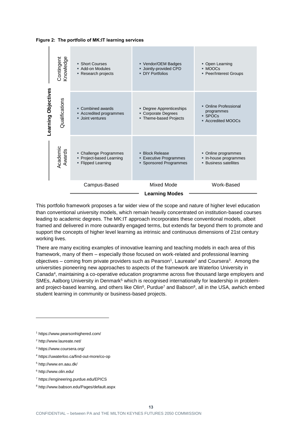



This portfolio framework proposes a far wider view of the scope and nature of higher level education than conventional university models, which remain heavily concentrated on institution-based courses leading to academic degrees. The MK:IT approach incorporates these conventional models, albeit framed and delivered in more outwardly engaged terms, but extends far beyond them to promote and support the concepts of higher level learning as intrinsic and continuous dimensions of 21st century working lives.

There are many exciting examples of innovative learning and teaching models in each area of this framework, many of them – especially those focused on work-related and professional learning objectives – coming from private providers such as Pearson<sup>1</sup>, Laureate<sup>2</sup> and Coursera<sup>3</sup>. Among the universities pioneering new approaches to aspects of the framework are Waterloo University in Canada<sup>4</sup>, maintaining a co-operative education programme across five thousand large employers and SMEs, Aalborg University in Denmark<sup>5</sup> which is recognised internationally for leadership in problemand project-based learning, and others like Olin<sup>6</sup>, Purdue<sup>7</sup> and Babson<sup>8</sup>, all in the USA, awhich embed student learning in community or business-based projects.

- <sup>3</sup> https://www.coursera.org/
- <sup>4</sup> https://uwaterloo.ca/find-out-more/co-op
- <sup>5</sup> http://www.en.aau.dk/
- <sup>6</sup> http://www.olin.edu/
- <sup>7</sup> https://engineering.purdue.edu/EPICS
- <sup>8</sup> http://www.babson.edu/Pages/default.aspx

<sup>1</sup> https://www.pearsonhighered.com/

<sup>2</sup> http://www.laureate.net/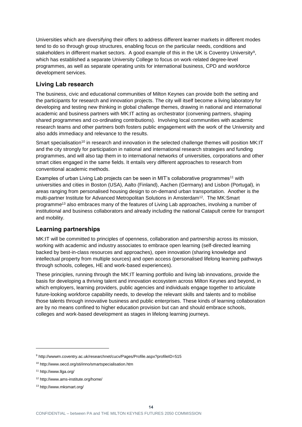Universities which are diversifying their offers to address different learner markets in different modes tend to do so through group structures, enabling focus on the particular needs, conditions and stakeholders in different market sectors. A good example of this in the UK is Coventry University<sup>9</sup>, which has established a separate University College to focus on work-related degree-level programmes, as well as separate operating units for international business, CPD and workforce development services.

#### **Living Lab research**

The business, civic and educational communities of Milton Keynes can provide both the setting and the participants for research and innovation projects. The city will itself become a living laboratory for developing and testing new thinking in global challenge themes, drawing in national and international academic and business partners with MK:IT acting as orchestrator (convening partners, shaping shared programmes and co-ordinating contributions). Involving local communities with academic research teams and other partners both fosters public engagement with the work of the University and also adds immediacy and relevance to the results.

Smart specialisation<sup>10</sup> in research and innovation in the selected challenge themes will position MK:IT and the city strongly for participation in national and international research strategies and funding programmes, and will also tap them in to international networks of universities, corporations and other smart cities engaged in the same fields. It entails very different approaches to research from conventional academic methods.

Examples of urban Living Lab projects can be seen in MIT's collaborative programmes<sup>11</sup> with universities and cities in Boston (USA), Aalto (Finland), Aachen (Germany) and Lisbon (Portugal), in areas ranging from personalised housing design to on-demand urban transportation. Another is the multi-partner Institute for Advanced Metropolitan Solutions in Amsterdam<sup>12</sup>. The MK:Smart programme<sup>13</sup> also embraces many of the features of Living Lab approaches, involving a number of institutional and business collaborators and already including the national Catapult centre for transport and mobility.

#### **Learning partnerships**

MK:IT will be committed to principles of openness, collaboration and partnership across its mission, working with academic and industry associates to embrace open learning (self-directed learning backed by best-in-class resources and approaches), open innovation (sharing knowledge and intellectual property from multiple sources) and open access (personalised lifelong learning pathways through schools, colleges, HE and work-based experiences).

These principles, running through the MK:IT learning portfolio and living lab innovations, provide the basis for developing a thriving talent and innovation ecosystem across Milton Keynes and beyond, in which employers, learning providers, public agencies and individuals engage together to articulate future-looking workforce capability needs, to develop the relevant skills and talents and to mobilise those talents through innovative business and public enterprises. These kinds of learning collaboration are by no means confined to higher education provision but can and should embrace schools, colleges and work-based development as stages in lifelong learning journeys.

<sup>9</sup> http://wwwm.coventry.ac.uk/researchnet/cucv/Pages/Profile.aspx?profileID=515

<sup>10</sup> http://www.oecd.org/sti/inno/smartspecialisation.htm

<sup>11</sup> http://www.llga.org/

<sup>12</sup> http://www.ams-institute.org/home/

<sup>13</sup> http://www.mksmart.org/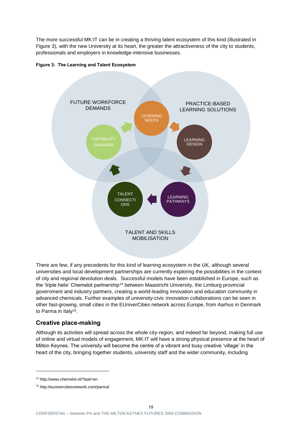The more successful MK:IT can be in creating a thriving talent ecosystem of this kind (illustrated in Figure 3), with the new University at its heart, the greater the attractiveness of the city to students, professionals and employers in knowledge-intensive businesses.





There are few, if any precedents for this kind of learning ecosystem in the UK, although several universities and local development partnerships are currently exploring the possibilities in the context of city and regional devolution deals. Successful models have been established in Europe, such as the 'triple helix' Chemelot partnership<sup>14</sup> between Maastricht University, the Limburg provincial government and industry partners, creating a world-leading innovation and education community in advanced chemicals. Further examples of university-civic innovation collaborations can be seen in other fast-growing, small cities in the EUniverCities network across Europe, from Aarhus in Denmark to Parma in Italy<sup>15</sup>.

#### **Creative place-making**

Although its activities will spread across the whole city-region, and indeed far beyond, making full use of online and virtual models of engagement, MK:IT will have a strong physical presence at the heart of Milton Keynes. The university will become the centre of a vibrant and busy creative 'village' in the heart of the city, bringing together students, university staff and the wider community, including

<sup>14</sup> http://www.chemelot.nl/?taal=en

<sup>15</sup> http://eunivercitiesnetwork.com/parma/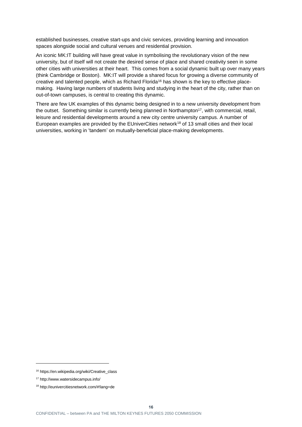established businesses, creative start-ups and civic services, providing learning and innovation spaces alongside social and cultural venues and residential provision.

An iconic MK:IT building will have great value in symbolising the revolutionary vision of the new university, but of itself will not create the desired sense of place and shared creativity seen in some other cities with universities at their heart. This comes from a social dynamic built up over many years (think Cambridge or Boston). MK:IT will provide a shared focus for growing a diverse community of creative and talented people, which as Richard Florida<sup>16</sup> has shown is the key to effective placemaking. Having large numbers of students living and studying in the heart of the city, rather than on out-of-town campuses, is central to creating this dynamic.

There are few UK examples of this dynamic being designed in to a new university development from the outset. Something similar is currently being planned in Northampton<sup>17</sup>, with commercial, retail, leisure and residential developments around a new city centre university campus. A number of European examples are provided by the EUniverCities network<sup>18</sup> of 13 small cities and their local universities, working in 'tandem' on mutually-beneficial place-making developments.

<sup>16</sup> https://en.wikipedia.org/wiki/Creative\_class

<sup>17</sup> http://www.watersidecampus.info/

<sup>18</sup> http://eunivercitiesnetwork.com/#!lang=de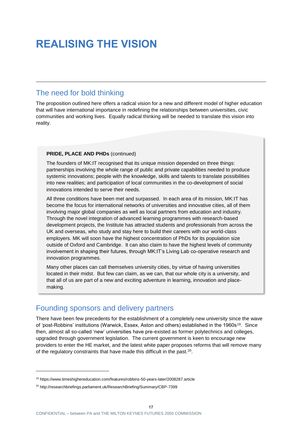# <span id="page-19-0"></span>**REALISING THE VISION**

#### <span id="page-19-1"></span>The need for bold thinking

The proposition outlined here offers a radical vision for a new and different model of higher education that will have international importance in redefining the relationships between universities, civic communities and working lives. Equally radical thinking will be needed to translate this vision into reality.

#### **PRIDE, PLACE AND PHDs** (continued)

The founders of MK:IT recognised that its unique mission depended on three things: partnerships involving the whole range of public and private capabilities needed to produce systemic innovations; people with the knowledge, skills and talents to translate possibilities into new realities; and participation of local communities in the co-development of social innovations intended to serve their needs.

All three conditions have been met and surpassed. In each area of its mission, MK:IT has become the focus for international networks of universities and innovative cities, all of them involving major global companies as well as local partners from education and industry. Through the novel integration of advanced learning programmes with research-based development projects, the Institute has attracted students and professionals from across the UK and overseas, who study and stay here to build their careers with our world-class employers. MK will soon have the highest concentration of PhDs for its population size outside of Oxford and Cambridge. It can also claim to have the highest levels of community involvement in shaping their futures, through MK:IT's Living Lab co-operative research and innovation programmes.

Many other places can call themselves university cities, by virtue of having universities located in their midst. But few can claim, as we can, that our whole city is a university, and that all of us are part of a new and exciting adventure in learning, innovation and placemaking.

#### <span id="page-19-2"></span>Founding sponsors and delivery partners

There have been few precedents for the establishment of a completely new university since the wave of 'post-Robbins' institutions (Warwick, Essex, Aston and others) established in the 1960s<sup>19</sup>. Since then, almost all so-called 'new' universities have pre-existed as former polytechnics and colleges, upgraded through government legislation. The current government is keen to encourage new providers to enter the HE market, and the latest white paper proposes reforms that will remove many of the regulatory constraints that have made this difficult in the past.<sup>20</sup>.

<sup>19</sup> https://www.timeshighereducation.com/features/robbins-50-years-later/2008287.article

<sup>20</sup> http://researchbriefings.parliament.uk/ResearchBriefing/Summary/CBP-7399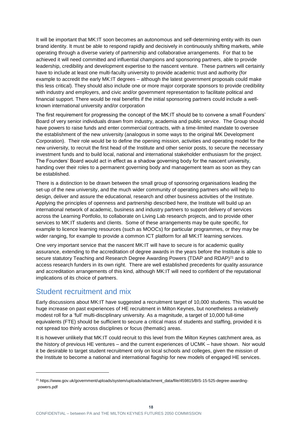It will be important that MK:IT soon becomes an autonomous and self-determining entity with its own brand identity. It must be able to respond rapidly and decisively in continuously shifting markets, while operating through a diverse variety of partnership and collaborative arrangements. For that to be achieved it will need committed and influential champions and sponsoring partners, able to provide leadership, credibility and development expertise to the nascent venture. These partners will certainly have to include at least one multi-faculty university to provide academic trust and authority (for example to accredit the early MK:IT degrees – although the latest government proposals could make this less critical). They should also include one or more major corporate sponsors to provide credibility with industry and employers, and civic and/or government representation to facilitate political and financial support. There would be real benefits if the initial sponsoring partners could include a wellknown international university and/or corporation

The first requirement for progressing the concept of the MK:IT should be to convene a small Founders' Board of very senior individuals drawn from industry, academia and public service. The Group should have powers to raise funds and enter commercial contracts, with a time-limited mandate to oversee the establishment of the new university (analogous in some ways to the original MK Development Corporation). Their role would be to define the opening mission, activities and operating model for the new university, to recruit the first head of the Institute and other senior posts, to secure the necessary investment funds and to build local, national and international stakeholder enthusiasm for the project. The Founders' Board would act in effect as a shadow governing body for the nascent university, handing over their roles to a permanent governing body and management team as soon as they can be established.

There is a distinction to be drawn between the small group of sponsoring organisations leading the set-up of the new university, and the much wider community of operating partners who will help to design, deliver and assure the educational, research and other business activities of the Institute. Applying the principles of openness and partnership described here, the Institute will build up an international network of academic, business and industry partners to support delivery of services across the Learning Portfolio, to collaborate on Living Lab research projects, and to provide other services to MK:IT students and clients. Some of these arrangements may be quite specific, for example to licence learning resources (such as MOOCs) for particular programmes, or they may be wider ranging, for example to provide a common ICT platform for all MK:IT learning services.

One very important service that the nascent MK:IT will have to secure is for academic quality assurance, extending to the accreditation of degree awards in the years before the Institute is able to secure statutory Teaching and Research Degree Awarding Powers (TDAP and RDAP)<sup>21</sup> and to access research funders in its own right. There are well established precedents for quality assurance and accreditation arrangements of this kind, although MK:IT will need to confident of the reputational implications of its choice of partners.

#### <span id="page-20-0"></span>Student recruitment and mix

l

Early discussions about MK:IT have suggested a recruitment target of 10,000 students. This would be huge increase on past experiences of HE recruitment in Milton Keynes, but nonetheless a relatively modest roll for a 'full' multi-disciplinary university. As a magnitude, a target of 10,000 full-time equivalents (FTE) should be sufficient to secure a critical mass of students and staffing, provided it is not spread too thinly across disciplines or focus (thematic) areas.

It is however unlikely that MK:IT could recruit to this level from the Milton Keynes catchment area, as the history of previous HE ventures – and the current experiences of UCMK – have shown. Nor would it be desirable to target student recruitment only on local schools and colleges, given the mission of the Institute to become a national and international flagship for new models of engaged HE services.

**18**

<sup>21</sup> https://www.gov.uk/government/uploads/system/uploads/attachment\_data/file/459815/BIS-15-525-degree-awardingpowers.pdf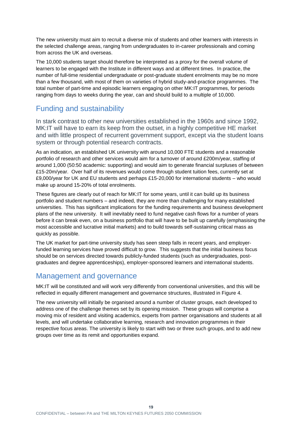The new university must aim to recruit a diverse mix of students and other learners with interests in the selected challenge areas, ranging from undergraduates to in-career professionals and coming from across the UK and overseas.

The 10,000 students target should therefore be interpreted as a proxy for the overall volume of learners to be engaged with the Institute in different ways and at different times. In practice, the number of full-time residential undergraduate or post-graduate student enrolments may be no more than a few thousand, with most of them on varieties of hybrid study-and-practice programmes. The total number of part-time and episodic learners engaging on other MK:IT programmes, for periods ranging from days to weeks during the year, can and should build to a multiple of 10,000.

#### <span id="page-21-0"></span>Funding and sustainability

In stark contrast to other new universities established in the 1960s and since 1992, MK:IT will have to earn its keep from the outset, in a highly competitive HE market and with little prospect of recurrent government support, except via the student loans system or through potential research contracts.

As an indication, an established UK university with around 10,000 FTE students and a reasonable portfolio of research and other services would aim for a turnover of around £200m/year, staffing of around 1,000 (50:50 academic: supporting) and would aim to generate financial surpluses of between £15-20m/year. Over half of its revenues would come through student tuition fees, currently set at £9,000/year for UK and EU students and perhaps £15-20,000 for international students – who would make up around 15-20% of total enrolments.

These figures are clearly out of reach for MK:IT for some years, until it can build up its business portfolio and student numbers – and indeed, they are more than challenging for many established universities. This has significant implications for the funding requirements and business development plans of the new university. It will inevitably need to fund negative cash flows for a number of years before it can break even, on a business portfolio that will have to be built up carefully (emphasising the most accessible and lucrative initial markets) and to build towards self-sustaining critical mass as quickly as possible.

The UK market for part-time university study has seen steep falls in recent years, and employerfunded learning services have proved difficult to grow. This suggests that the initial business focus should be on services directed towards publicly-funded students (such as undergraduates, postgraduates and degree apprenticeships), employer-sponsored learners and international students.

#### <span id="page-21-1"></span>Management and governance

MK:IT will be constituted and will work very differently from conventional universities, and this will be reflected in equally different management and governance structures, illustrated in Figure 4.

The new university will initially be organised around a number of cluster groups, each developed to address one of the challenge themes set by its opening mission. These groups will comprise a moving mix of resident and visiting academics, experts from partner organisations and students at all levels, and will undertake collaborative learning, research and innovation programmes in their respective focus areas. The university is likely to start with two or three such groups, and to add new groups over time as its remit and opportunities expand.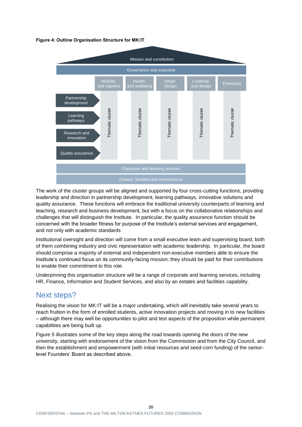#### **Figure 4: Outline Organisation Structure for MK:IT**



The work of the cluster groups will be aligned and supported by four cross-cutting functions, providing leadership and direction in partnership development, learning pathways, innovative solutions and quality assurance. These functions will embrace the traditional university counterparts of learning and teaching, research and business development, but with a focus on the collaborative relationships and challenges that will distinguish the Institute. In particular, the quality assurance function should be concerned with the broader fitness for purpose of the Institute's external services and engagement, and not only with academic standards

Institutional oversight and direction will come from a small executive team and supervising board, both of them combining industry and civic representation with academic leadership. In particular, the board should comprise a majority of external and independent non-executive members able to ensure the Institute's continued focus on its community-facing mission; they should be paid for their contributions to enable their commitment to this role.

Underpinning this organisation structure will be a range of corporate and learning services, including HR, Finance, Information and Student Services, and also by an estates and facilities capability.

#### <span id="page-22-0"></span>Next steps?

Realising the vision for MK:IT will be a major undertaking, which will inevitably take several years to reach fruition in the form of enrolled students, active innovation projects and moving in to new facilities – although there may well be opportunities to pilot and test aspects of the proposition while permanent capabilities are being built up.

Figure 5 illustrates some of the key steps along the road towards opening the doors of the new university, starting with endorsement of the vision from the Commission and from the City Council, and then the establishment and empowerment (with initial resources and seed-corn funding) of the seniorlevel Founders' Board as described above.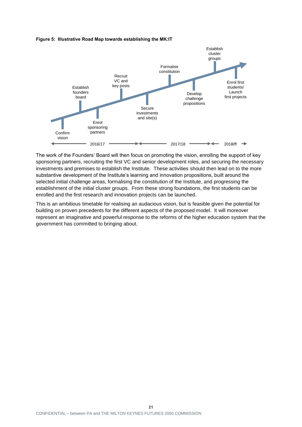#### **Figure 5: Illustrative Road Map towards establishing the MK:IT**



The work of the Founders' Board will then focus on promoting the vision, enrolling the support of key sponsoring partners, recruiting the first VC and senior development roles, and securing the necessary investments and premises to establish the Institute. These activities should then lead on to the more substantive development of the Institute's learning and innovation propositions, built around the selected initial challenge areas, formalising the constitution of the Institute, and progressing the establishment of the initial cluster groups. From these strong foundations, the first students can be enrolled and the first research and innovation projects can be launched.

This is an ambitious timetable for realising an audacious vision, but is feasible given the potential for building on proven precedents for the different aspects of the proposed model. It will moreover represent an imaginative and powerful response to the reforms of the higher education system that the government has committed to bringing about.